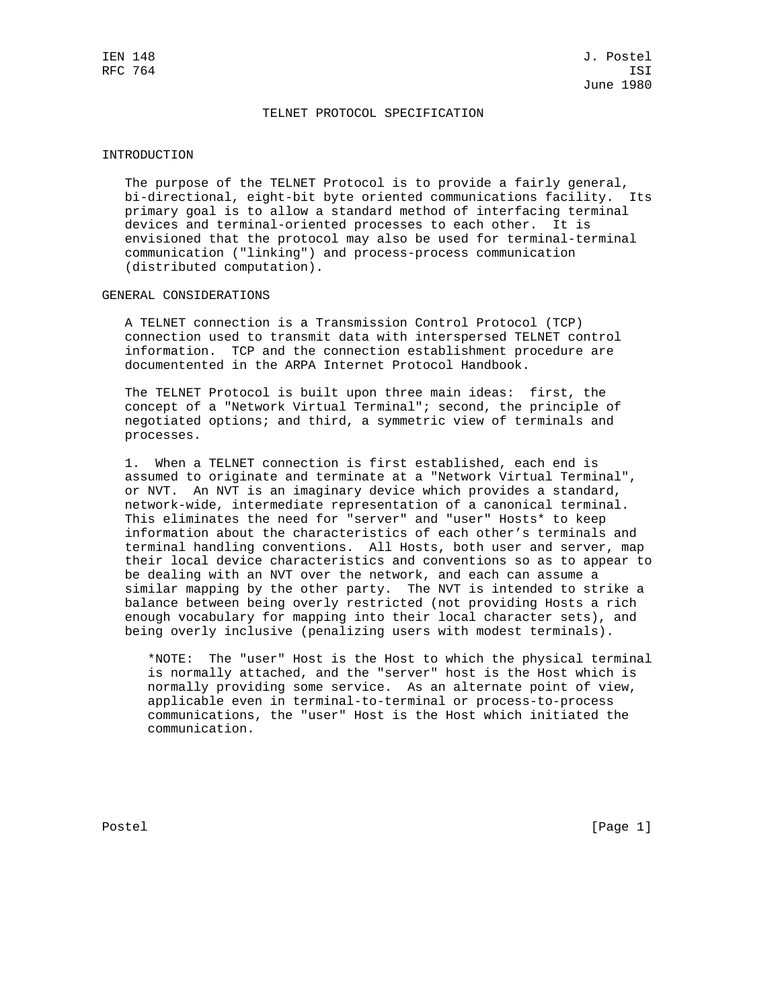### TELNET PROTOCOL SPECIFICATION

### INTRODUCTION

 The purpose of the TELNET Protocol is to provide a fairly general, bi-directional, eight-bit byte oriented communications facility. Its primary goal is to allow a standard method of interfacing terminal devices and terminal-oriented processes to each other. It is envisioned that the protocol may also be used for terminal-terminal communication ("linking") and process-process communication (distributed computation).

### GENERAL CONSIDERATIONS

 A TELNET connection is a Transmission Control Protocol (TCP) connection used to transmit data with interspersed TELNET control information. TCP and the connection establishment procedure are documentented in the ARPA Internet Protocol Handbook.

 The TELNET Protocol is built upon three main ideas: first, the concept of a "Network Virtual Terminal"; second, the principle of negotiated options; and third, a symmetric view of terminals and processes.

 1. When a TELNET connection is first established, each end is assumed to originate and terminate at a "Network Virtual Terminal", or NVT. An NVT is an imaginary device which provides a standard, network-wide, intermediate representation of a canonical terminal. This eliminates the need for "server" and "user" Hosts\* to keep information about the characteristics of each other's terminals and terminal handling conventions. All Hosts, both user and server, map their local device characteristics and conventions so as to appear to be dealing with an NVT over the network, and each can assume a similar mapping by the other party. The NVT is intended to strike a balance between being overly restricted (not providing Hosts a rich enough vocabulary for mapping into their local character sets), and being overly inclusive (penalizing users with modest terminals).

 \*NOTE: The "user" Host is the Host to which the physical terminal is normally attached, and the "server" host is the Host which is normally providing some service. As an alternate point of view, applicable even in terminal-to-terminal or process-to-process communications, the "user" Host is the Host which initiated the communication.

Postel [Page 1] [Page 1]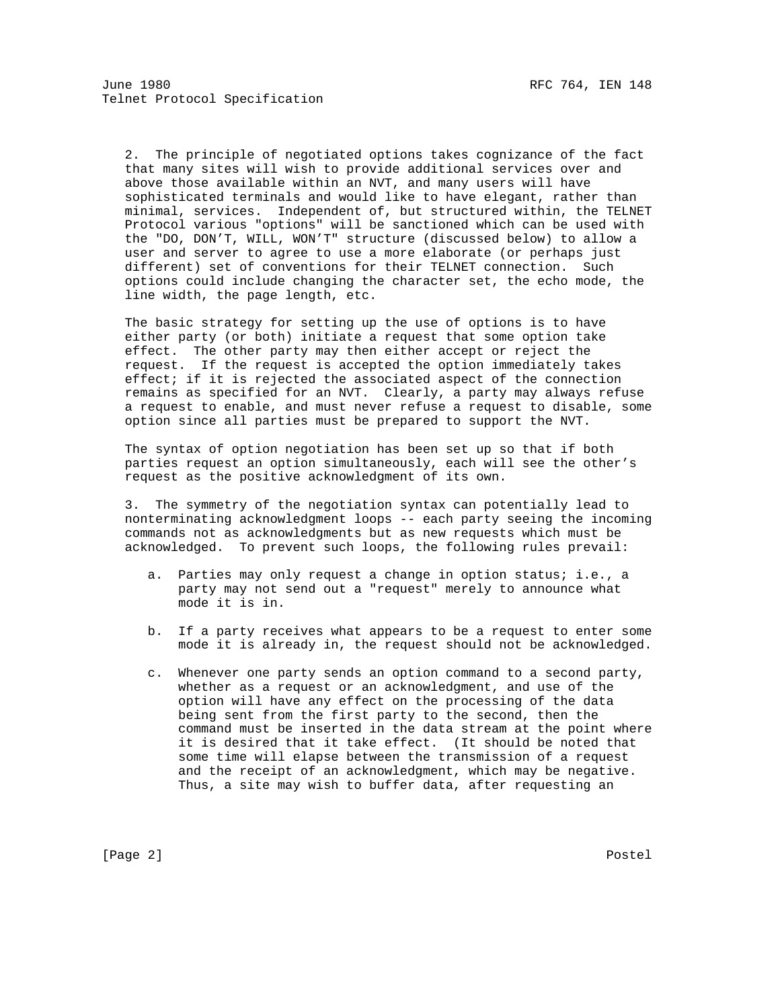2. The principle of negotiated options takes cognizance of the fact that many sites will wish to provide additional services over and above those available within an NVT, and many users will have sophisticated terminals and would like to have elegant, rather than minimal, services. Independent of, but structured within, the TELNET Protocol various "options" will be sanctioned which can be used with the "DO, DON'T, WILL, WON'T" structure (discussed below) to allow a user and server to agree to use a more elaborate (or perhaps just different) set of conventions for their TELNET connection. Such options could include changing the character set, the echo mode, the line width, the page length, etc.

 The basic strategy for setting up the use of options is to have either party (or both) initiate a request that some option take effect. The other party may then either accept or reject the request. If the request is accepted the option immediately takes effect; if it is rejected the associated aspect of the connection remains as specified for an NVT. Clearly, a party may always refuse a request to enable, and must never refuse a request to disable, some option since all parties must be prepared to support the NVT.

 The syntax of option negotiation has been set up so that if both parties request an option simultaneously, each will see the other's request as the positive acknowledgment of its own.

 3. The symmetry of the negotiation syntax can potentially lead to nonterminating acknowledgment loops -- each party seeing the incoming commands not as acknowledgments but as new requests which must be acknowledged. To prevent such loops, the following rules prevail:

- a. Parties may only request a change in option status; i.e., a party may not send out a "request" merely to announce what mode it is in.
- b. If a party receives what appears to be a request to enter some mode it is already in, the request should not be acknowledged.
- c. Whenever one party sends an option command to a second party, whether as a request or an acknowledgment, and use of the option will have any effect on the processing of the data being sent from the first party to the second, then the command must be inserted in the data stream at the point where it is desired that it take effect. (It should be noted that some time will elapse between the transmission of a request and the receipt of an acknowledgment, which may be negative. Thus, a site may wish to buffer data, after requesting an

[Page 2] Postel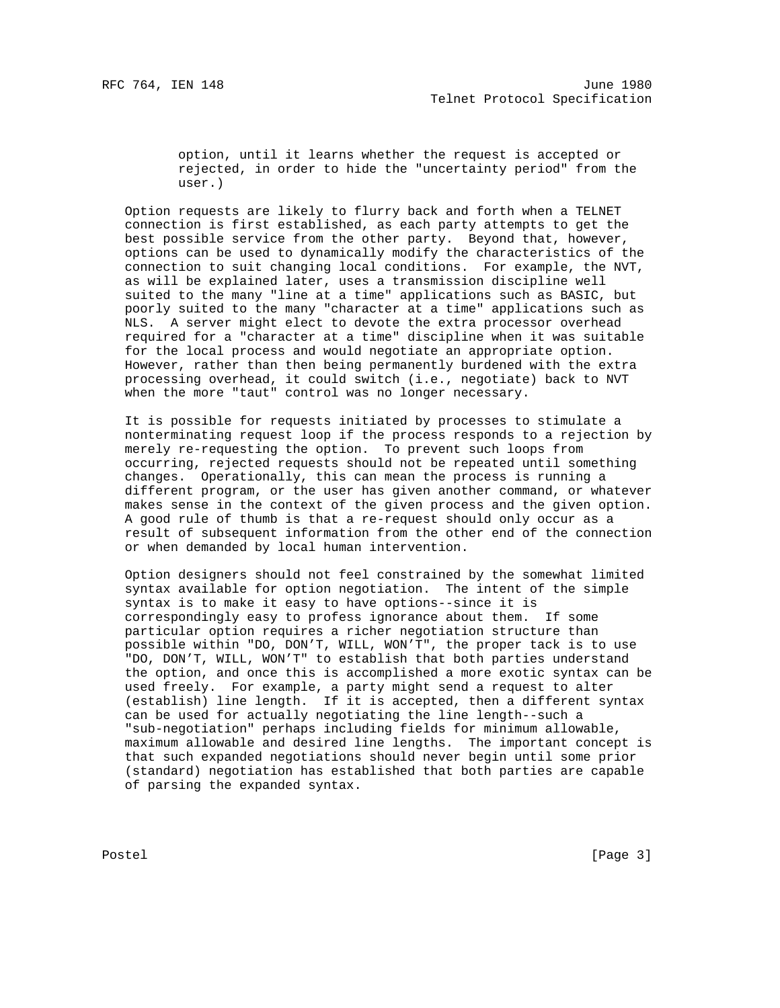option, until it learns whether the request is accepted or rejected, in order to hide the "uncertainty period" from the user.)

 Option requests are likely to flurry back and forth when a TELNET connection is first established, as each party attempts to get the best possible service from the other party. Beyond that, however, options can be used to dynamically modify the characteristics of the connection to suit changing local conditions. For example, the NVT, as will be explained later, uses a transmission discipline well suited to the many "line at a time" applications such as BASIC, but poorly suited to the many "character at a time" applications such as NLS. A server might elect to devote the extra processor overhead required for a "character at a time" discipline when it was suitable for the local process and would negotiate an appropriate option. However, rather than then being permanently burdened with the extra processing overhead, it could switch (i.e., negotiate) back to NVT when the more "taut" control was no longer necessary.

 It is possible for requests initiated by processes to stimulate a nonterminating request loop if the process responds to a rejection by merely re-requesting the option. To prevent such loops from occurring, rejected requests should not be repeated until something changes. Operationally, this can mean the process is running a different program, or the user has given another command, or whatever makes sense in the context of the given process and the given option. A good rule of thumb is that a re-request should only occur as a result of subsequent information from the other end of the connection or when demanded by local human intervention.

 Option designers should not feel constrained by the somewhat limited syntax available for option negotiation. The intent of the simple syntax is to make it easy to have options--since it is correspondingly easy to profess ignorance about them. If some particular option requires a richer negotiation structure than possible within "DO, DON'T, WILL, WON'T", the proper tack is to use "DO, DON'T, WILL, WON'T" to establish that both parties understand the option, and once this is accomplished a more exotic syntax can be used freely. For example, a party might send a request to alter (establish) line length. If it is accepted, then a different syntax can be used for actually negotiating the line length--such a "sub-negotiation" perhaps including fields for minimum allowable, maximum allowable and desired line lengths. The important concept is that such expanded negotiations should never begin until some prior (standard) negotiation has established that both parties are capable of parsing the expanded syntax.

Postel [Page 3]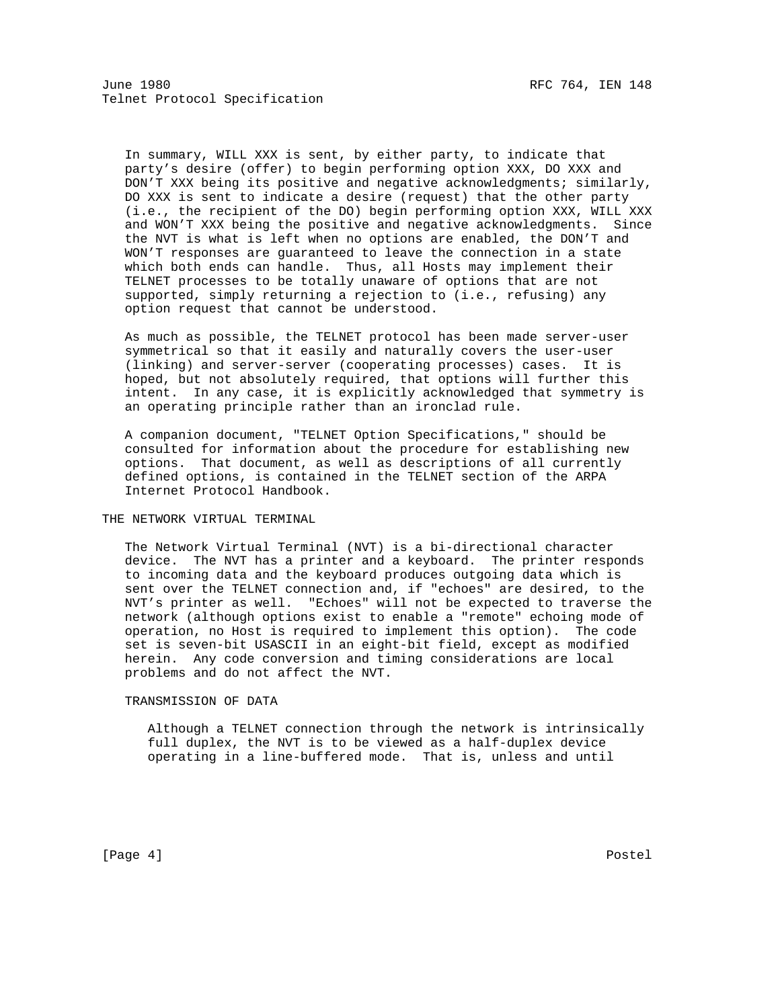In summary, WILL XXX is sent, by either party, to indicate that party's desire (offer) to begin performing option XXX, DO XXX and DON'T XXX being its positive and negative acknowledgments; similarly, DO XXX is sent to indicate a desire (request) that the other party (i.e., the recipient of the DO) begin performing option XXX, WILL XXX and WON'T XXX being the positive and negative acknowledgments. Since the NVT is what is left when no options are enabled, the DON'T and WON'T responses are guaranteed to leave the connection in a state which both ends can handle. Thus, all Hosts may implement their TELNET processes to be totally unaware of options that are not supported, simply returning a rejection to (i.e., refusing) any option request that cannot be understood.

 As much as possible, the TELNET protocol has been made server-user symmetrical so that it easily and naturally covers the user-user (linking) and server-server (cooperating processes) cases. It is hoped, but not absolutely required, that options will further this intent. In any case, it is explicitly acknowledged that symmetry is an operating principle rather than an ironclad rule.

 A companion document, "TELNET Option Specifications," should be consulted for information about the procedure for establishing new options. That document, as well as descriptions of all currently defined options, is contained in the TELNET section of the ARPA Internet Protocol Handbook.

# THE NETWORK VIRTUAL TERMINAL

 The Network Virtual Terminal (NVT) is a bi-directional character device. The NVT has a printer and a keyboard. The printer responds to incoming data and the keyboard produces outgoing data which is sent over the TELNET connection and, if "echoes" are desired, to the NVT's printer as well. "Echoes" will not be expected to traverse the network (although options exist to enable a "remote" echoing mode of operation, no Host is required to implement this option). The code set is seven-bit USASCII in an eight-bit field, except as modified herein. Any code conversion and timing considerations are local problems and do not affect the NVT.

#### TRANSMISSION OF DATA

 Although a TELNET connection through the network is intrinsically full duplex, the NVT is to be viewed as a half-duplex device operating in a line-buffered mode. That is, unless and until

[Page 4] Postel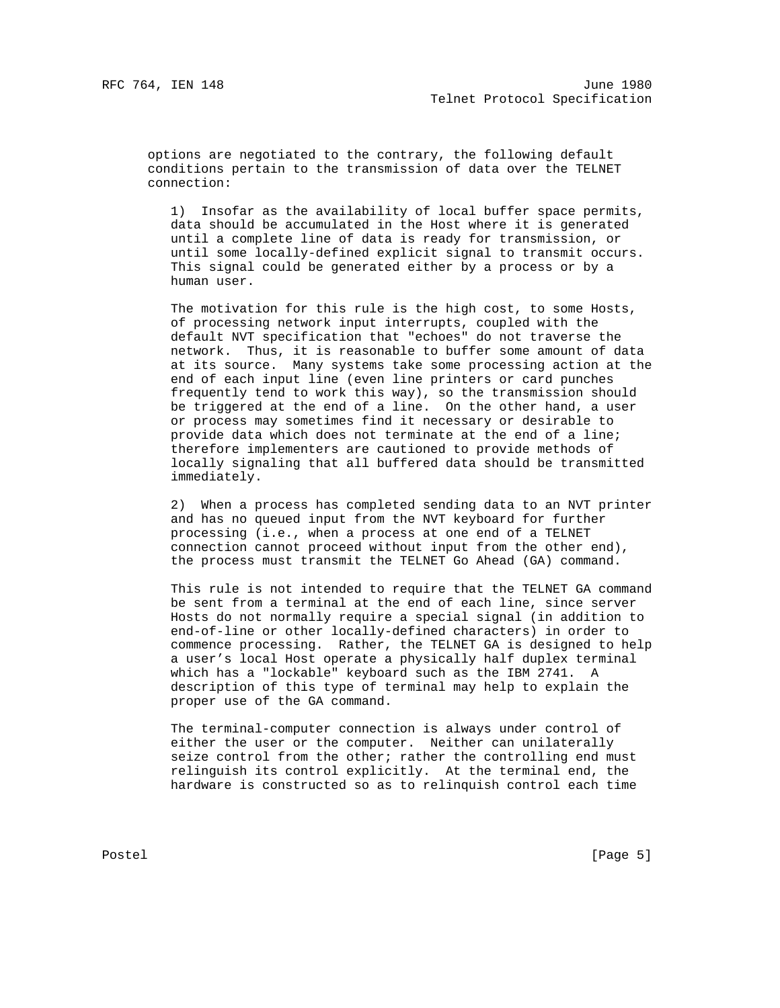options are negotiated to the contrary, the following default conditions pertain to the transmission of data over the TELNET connection:

 1) Insofar as the availability of local buffer space permits, data should be accumulated in the Host where it is generated until a complete line of data is ready for transmission, or until some locally-defined explicit signal to transmit occurs. This signal could be generated either by a process or by a human user.

 The motivation for this rule is the high cost, to some Hosts, of processing network input interrupts, coupled with the default NVT specification that "echoes" do not traverse the network. Thus, it is reasonable to buffer some amount of data at its source. Many systems take some processing action at the end of each input line (even line printers or card punches frequently tend to work this way), so the transmission should be triggered at the end of a line. On the other hand, a user or process may sometimes find it necessary or desirable to provide data which does not terminate at the end of a line; therefore implementers are cautioned to provide methods of locally signaling that all buffered data should be transmitted immediately.

 2) When a process has completed sending data to an NVT printer and has no queued input from the NVT keyboard for further processing (i.e., when a process at one end of a TELNET connection cannot proceed without input from the other end), the process must transmit the TELNET Go Ahead (GA) command.

 This rule is not intended to require that the TELNET GA command be sent from a terminal at the end of each line, since server Hosts do not normally require a special signal (in addition to end-of-line or other locally-defined characters) in order to commence processing. Rather, the TELNET GA is designed to help a user's local Host operate a physically half duplex terminal which has a "lockable" keyboard such as the IBM 2741. A description of this type of terminal may help to explain the proper use of the GA command.

 The terminal-computer connection is always under control of either the user or the computer. Neither can unilaterally seize control from the other; rather the controlling end must relinguish its control explicitly. At the terminal end, the hardware is constructed so as to relinquish control each time

Postel [Page 5]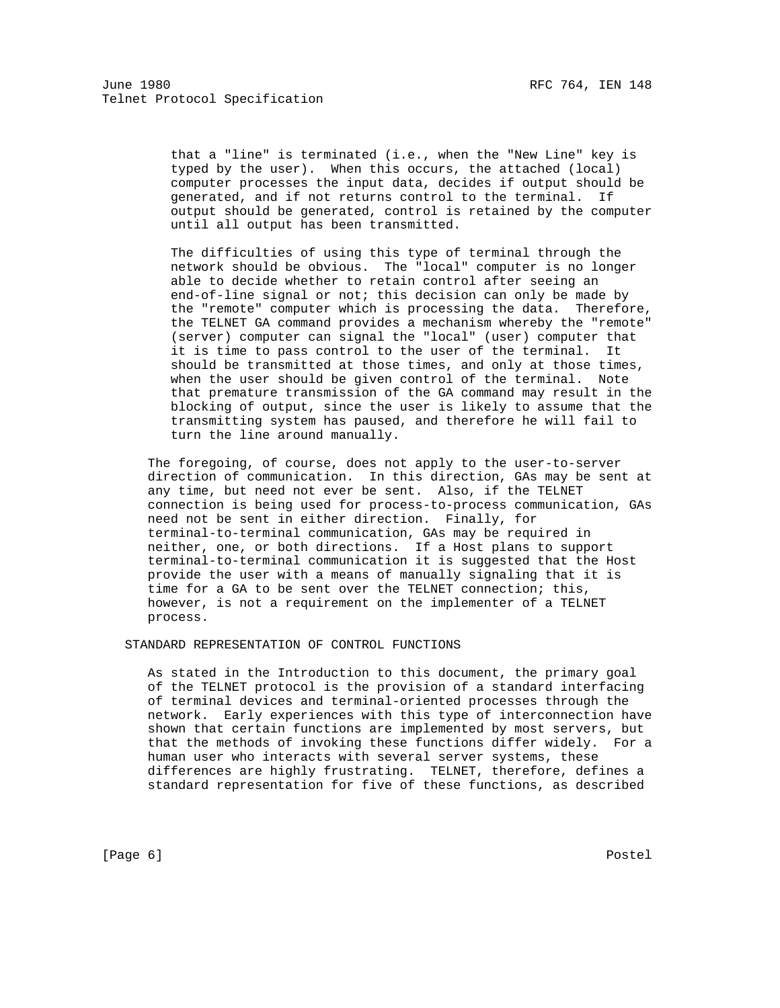that a "line" is terminated (i.e., when the "New Line" key is typed by the user). When this occurs, the attached (local) computer processes the input data, decides if output should be generated, and if not returns control to the terminal. If output should be generated, control is retained by the computer until all output has been transmitted.

 The difficulties of using this type of terminal through the network should be obvious. The "local" computer is no longer able to decide whether to retain control after seeing an end-of-line signal or not; this decision can only be made by the "remote" computer which is processing the data. Therefore, the TELNET GA command provides a mechanism whereby the "remote" (server) computer can signal the "local" (user) computer that it is time to pass control to the user of the terminal. It should be transmitted at those times, and only at those times, when the user should be given control of the terminal. Note that premature transmission of the GA command may result in the blocking of output, since the user is likely to assume that the transmitting system has paused, and therefore he will fail to turn the line around manually.

 The foregoing, of course, does not apply to the user-to-server direction of communication. In this direction, GAs may be sent at any time, but need not ever be sent. Also, if the TELNET connection is being used for process-to-process communication, GAs need not be sent in either direction. Finally, for terminal-to-terminal communication, GAs may be required in neither, one, or both directions. If a Host plans to support terminal-to-terminal communication it is suggested that the Host provide the user with a means of manually signaling that it is time for a GA to be sent over the TELNET connection; this, however, is not a requirement on the implementer of a TELNET process.

### STANDARD REPRESENTATION OF CONTROL FUNCTIONS

 As stated in the Introduction to this document, the primary goal of the TELNET protocol is the provision of a standard interfacing of terminal devices and terminal-oriented processes through the network. Early experiences with this type of interconnection have shown that certain functions are implemented by most servers, but that the methods of invoking these functions differ widely. For a human user who interacts with several server systems, these differences are highly frustrating. TELNET, therefore, defines a standard representation for five of these functions, as described

[Page 6] Postel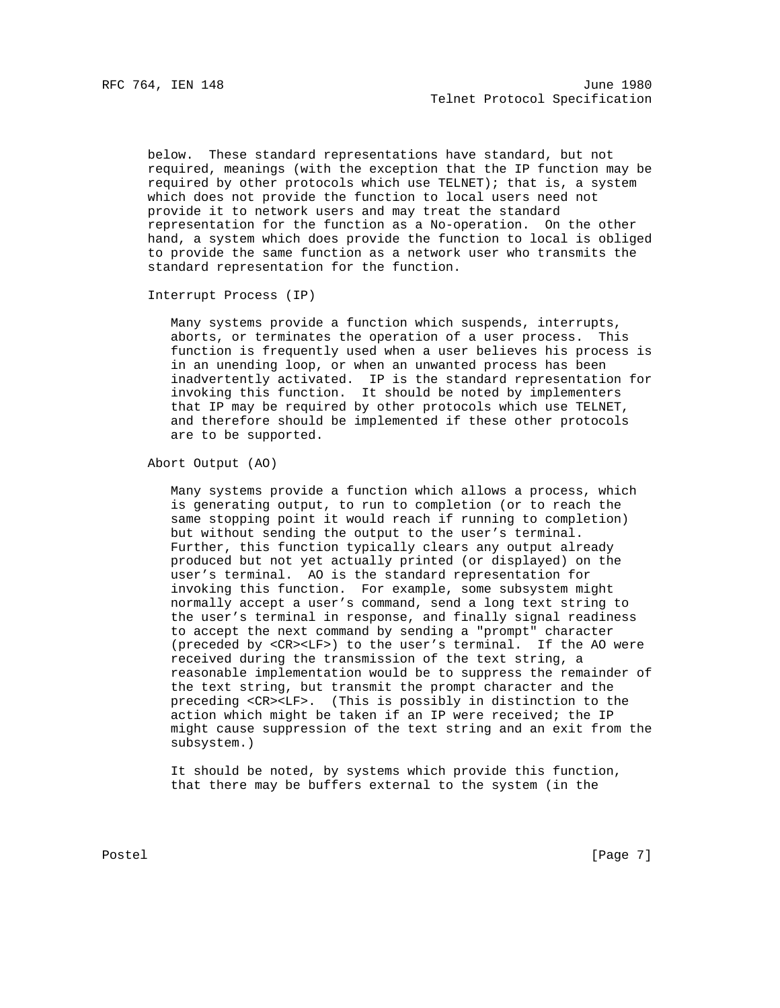below. These standard representations have standard, but not required, meanings (with the exception that the IP function may be required by other protocols which use TELNET); that is, a system which does not provide the function to local users need not provide it to network users and may treat the standard representation for the function as a No-operation. On the other hand, a system which does provide the function to local is obliged to provide the same function as a network user who transmits the standard representation for the function.

Interrupt Process (IP)

 Many systems provide a function which suspends, interrupts, aborts, or terminates the operation of a user process. This function is frequently used when a user believes his process is in an unending loop, or when an unwanted process has been inadvertently activated. IP is the standard representation for invoking this function. It should be noted by implementers that IP may be required by other protocols which use TELNET, and therefore should be implemented if these other protocols are to be supported.

Abort Output (AO)

 Many systems provide a function which allows a process, which is generating output, to run to completion (or to reach the same stopping point it would reach if running to completion) but without sending the output to the user's terminal. Further, this function typically clears any output already produced but not yet actually printed (or displayed) on the user's terminal. AO is the standard representation for invoking this function. For example, some subsystem might normally accept a user's command, send a long text string to the user's terminal in response, and finally signal readiness to accept the next command by sending a "prompt" character (preceded by <CR><LF>) to the user's terminal. If the AO were received during the transmission of the text string, a reasonable implementation would be to suppress the remainder of the text string, but transmit the prompt character and the preceding <CR><LF>. (This is possibly in distinction to the action which might be taken if an IP were received; the IP might cause suppression of the text string and an exit from the subsystem.)

> It should be noted, by systems which provide this function, that there may be buffers external to the system (in the

Postel [Page 7]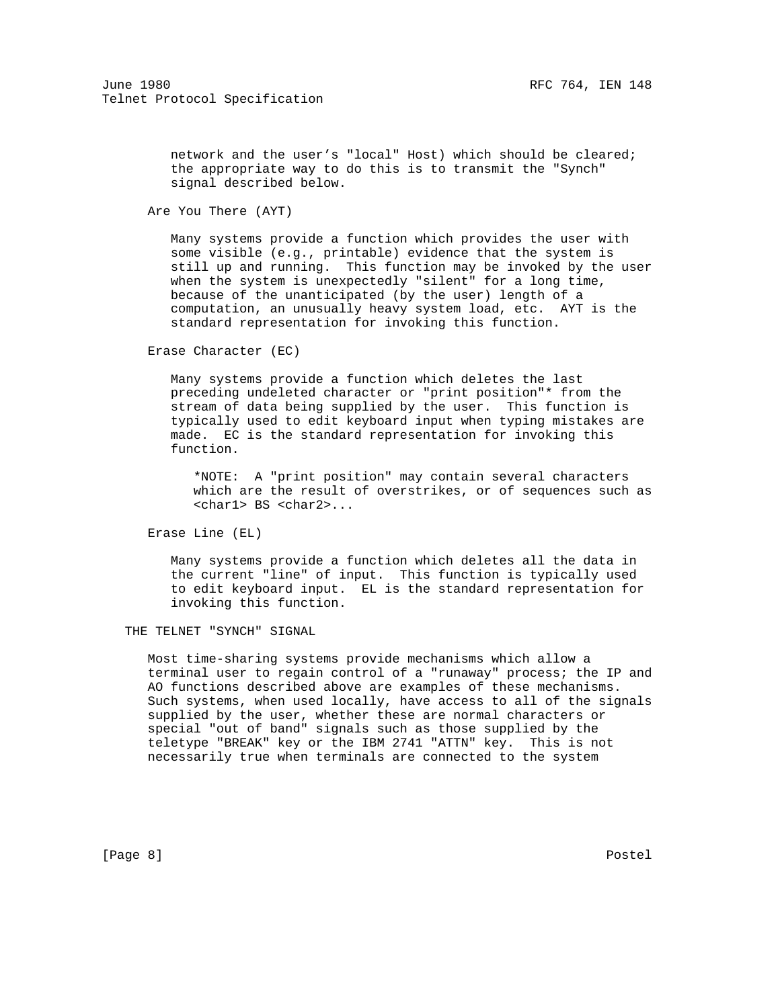network and the user's "local" Host) which should be cleared; the appropriate way to do this is to transmit the "Synch" signal described below.

Are You There (AYT)

 Many systems provide a function which provides the user with some visible (e.g., printable) evidence that the system is still up and running. This function may be invoked by the user when the system is unexpectedly "silent" for a long time, because of the unanticipated (by the user) length of a computation, an unusually heavy system load, etc. AYT is the standard representation for invoking this function.

Erase Character (EC)

 Many systems provide a function which deletes the last preceding undeleted character or "print position"\* from the stream of data being supplied by the user. This function is typically used to edit keyboard input when typing mistakes are made. EC is the standard representation for invoking this function.

 \*NOTE: A "print position" may contain several characters which are the result of overstrikes, or of sequences such as <char1> BS <char2>...

Erase Line (EL)

 Many systems provide a function which deletes all the data in the current "line" of input. This function is typically used to edit keyboard input. EL is the standard representation for invoking this function.

THE TELNET "SYNCH" SIGNAL

 Most time-sharing systems provide mechanisms which allow a terminal user to regain control of a "runaway" process; the IP and AO functions described above are examples of these mechanisms. Such systems, when used locally, have access to all of the signals supplied by the user, whether these are normal characters or special "out of band" signals such as those supplied by the teletype "BREAK" key or the IBM 2741 "ATTN" key. This is not necessarily true when terminals are connected to the system

[Page 8] Postel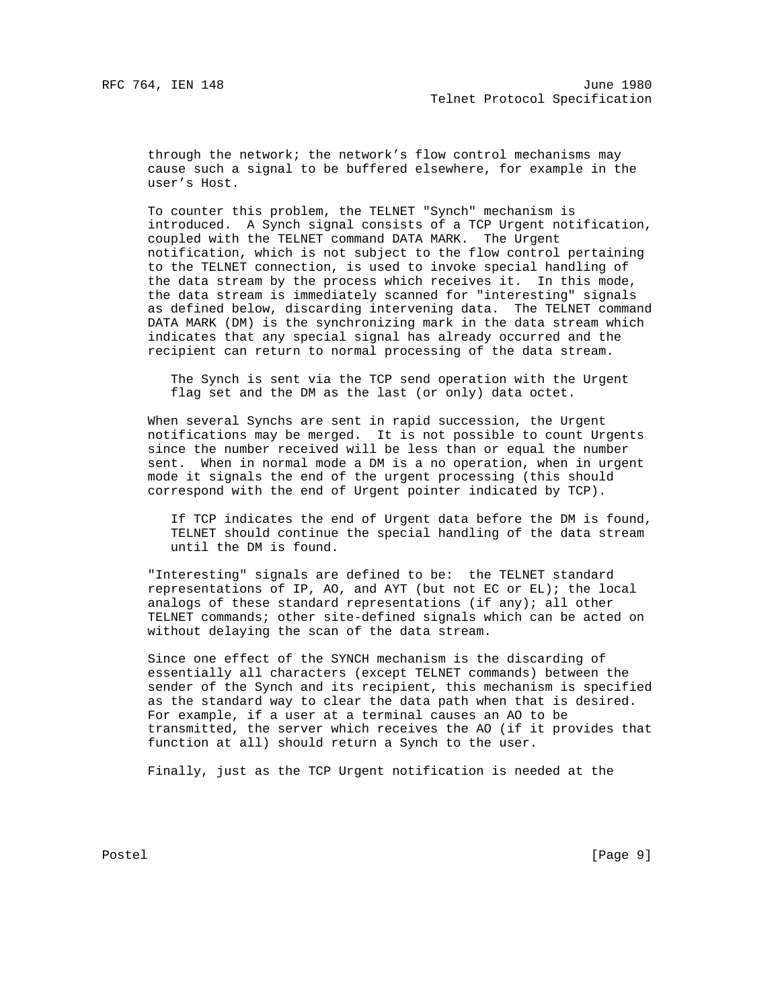through the network; the network's flow control mechanisms may cause such a signal to be buffered elsewhere, for example in the user's Host.

 To counter this problem, the TELNET "Synch" mechanism is introduced. A Synch signal consists of a TCP Urgent notification, coupled with the TELNET command DATA MARK. The Urgent notification, which is not subject to the flow control pertaining to the TELNET connection, is used to invoke special handling of the data stream by the process which receives it. In this mode, the data stream is immediately scanned for "interesting" signals as defined below, discarding intervening data. The TELNET command DATA MARK (DM) is the synchronizing mark in the data stream which indicates that any special signal has already occurred and the recipient can return to normal processing of the data stream.

 The Synch is sent via the TCP send operation with the Urgent flag set and the DM as the last (or only) data octet.

 When several Synchs are sent in rapid succession, the Urgent notifications may be merged. It is not possible to count Urgents since the number received will be less than or equal the number sent. When in normal mode a DM is a no operation, when in urgent mode it signals the end of the urgent processing (this should correspond with the end of Urgent pointer indicated by TCP).

 If TCP indicates the end of Urgent data before the DM is found, TELNET should continue the special handling of the data stream until the DM is found.

 "Interesting" signals are defined to be: the TELNET standard representations of IP, AO, and AYT (but not EC or EL); the local analogs of these standard representations (if any); all other TELNET commands; other site-defined signals which can be acted on without delaying the scan of the data stream.

 Since one effect of the SYNCH mechanism is the discarding of essentially all characters (except TELNET commands) between the sender of the Synch and its recipient, this mechanism is specified as the standard way to clear the data path when that is desired. For example, if a user at a terminal causes an AO to be transmitted, the server which receives the AO (if it provides that function at all) should return a Synch to the user.

Finally, just as the TCP Urgent notification is needed at the

Postel [Page 9]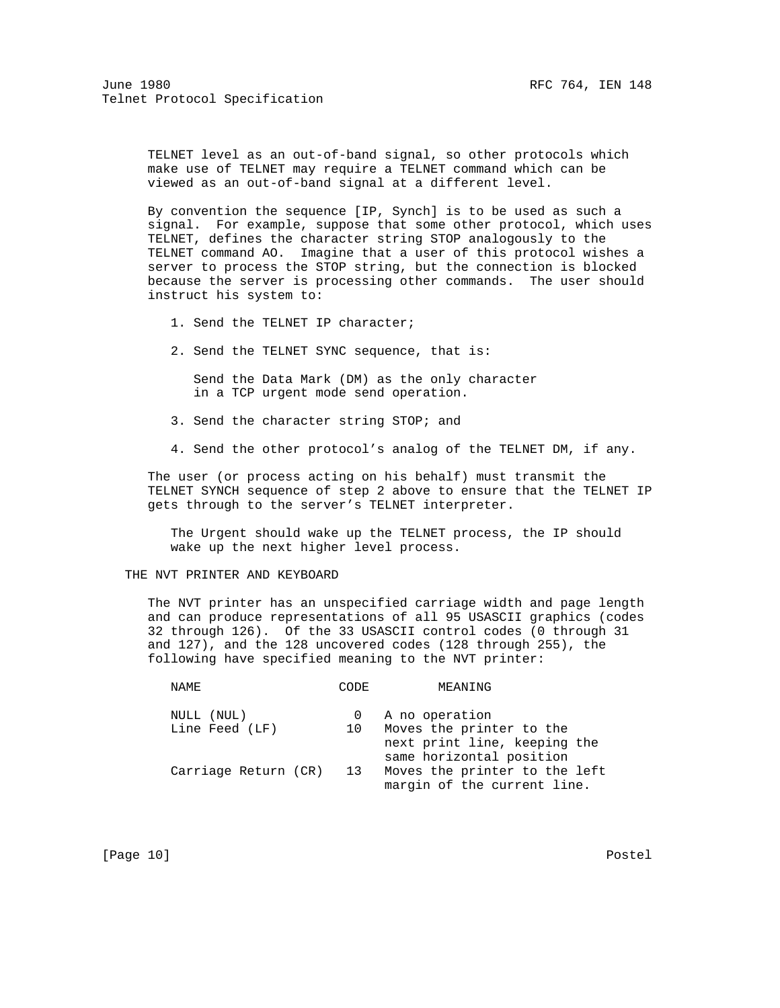TELNET level as an out-of-band signal, so other protocols which make use of TELNET may require a TELNET command which can be viewed as an out-of-band signal at a different level.

 By convention the sequence [IP, Synch] is to be used as such a signal. For example, suppose that some other protocol, which uses TELNET, defines the character string STOP analogously to the TELNET command AO. Imagine that a user of this protocol wishes a server to process the STOP string, but the connection is blocked because the server is processing other commands. The user should instruct his system to:

- 1. Send the TELNET IP character;
- 2. Send the TELNET SYNC sequence, that is:

 Send the Data Mark (DM) as the only character in a TCP urgent mode send operation.

- 3. Send the character string STOP; and
- 4. Send the other protocol's analog of the TELNET DM, if any.

 The user (or process acting on his behalf) must transmit the TELNET SYNCH sequence of step 2 above to ensure that the TELNET IP gets through to the server's TELNET interpreter.

 The Urgent should wake up the TELNET process, the IP should wake up the next higher level process.

## THE NVT PRINTER AND KEYBOARD

 The NVT printer has an unspecified carriage width and page length and can produce representations of all 95 USASCII graphics (codes 32 through 126). Of the 33 USASCII control codes (0 through 31 and 127), and the 128 uncovered codes (128 through 255), the following have specified meaning to the NVT printer:

| NAME                 | CODE | MEANING                       |  |
|----------------------|------|-------------------------------|--|
| NULL (NUL)           |      | A no operation                |  |
| Line Feed (LF)       | 10   | Moves the printer to the      |  |
|                      |      | next print line, keeping the  |  |
|                      |      | same horizontal position      |  |
| Carriage Return (CR) | 13   | Moves the printer to the left |  |
|                      |      | margin of the current line.   |  |

[Page 10] Postel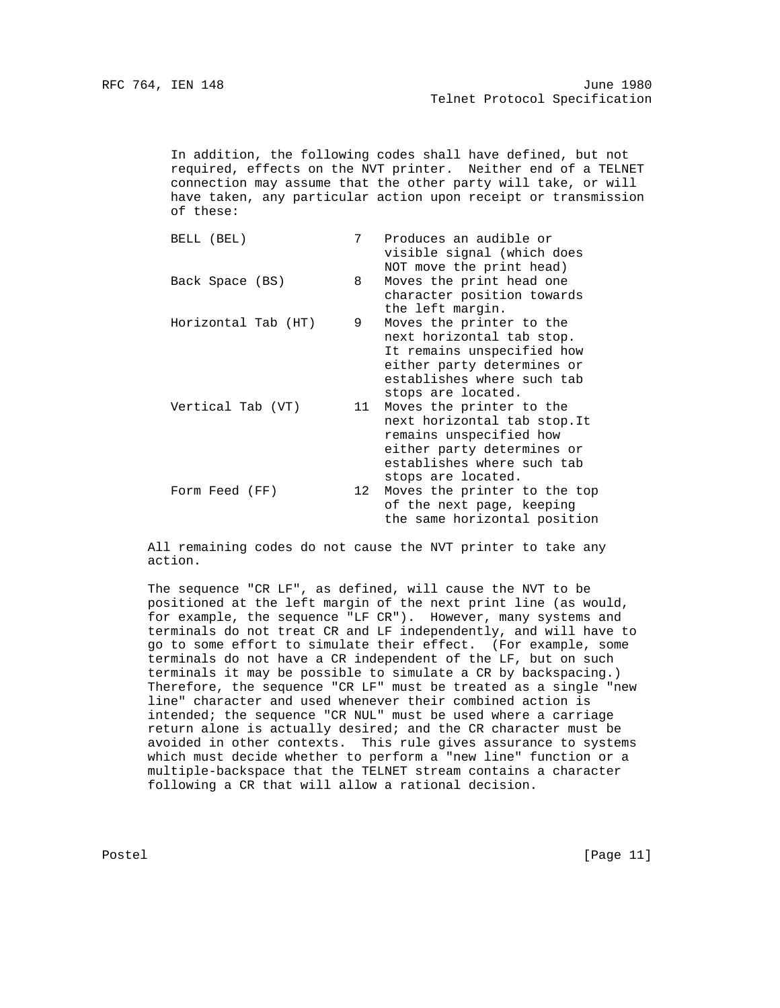In addition, the following codes shall have defined, but not required, effects on the NVT printer. Neither end of a TELNET connection may assume that the other party will take, or will have taken, any particular action upon receipt or transmission of these:

| BELL (BEL)          | 7  | Produces an audible or<br>visible signal (which does<br>NOT move the print head)                                                                                      |
|---------------------|----|-----------------------------------------------------------------------------------------------------------------------------------------------------------------------|
| Back Space (BS)     | 8  | Moves the print head one<br>character position towards<br>the left margin.                                                                                            |
| Horizontal Tab (HT) | 9  | Moves the printer to the<br>next horizontal tab stop.<br>It remains unspecified how<br>either party determines or<br>establishes where such tab<br>stops are located. |
| Vertical Tab (VT)   | 11 | Moves the printer to the<br>next horizontal tab stop. It<br>remains unspecified how<br>either party determines or<br>establishes where such tab<br>stops are located. |
| Form Feed (FF)      | 12 | Moves the printer to the top<br>of the next page, keeping<br>the same horizontal position                                                                             |

 All remaining codes do not cause the NVT printer to take any action.

 The sequence "CR LF", as defined, will cause the NVT to be positioned at the left margin of the next print line (as would, for example, the sequence "LF CR"). However, many systems and terminals do not treat CR and LF independently, and will have to go to some effort to simulate their effect. (For example, some terminals do not have a CR independent of the LF, but on such terminals it may be possible to simulate a CR by backspacing.) Therefore, the sequence "CR LF" must be treated as a single "new line" character and used whenever their combined action is intended; the sequence "CR NUL" must be used where a carriage return alone is actually desired; and the CR character must be avoided in other contexts. This rule gives assurance to systems which must decide whether to perform a "new line" function or a multiple-backspace that the TELNET stream contains a character following a CR that will allow a rational decision.

Postel [Page 11]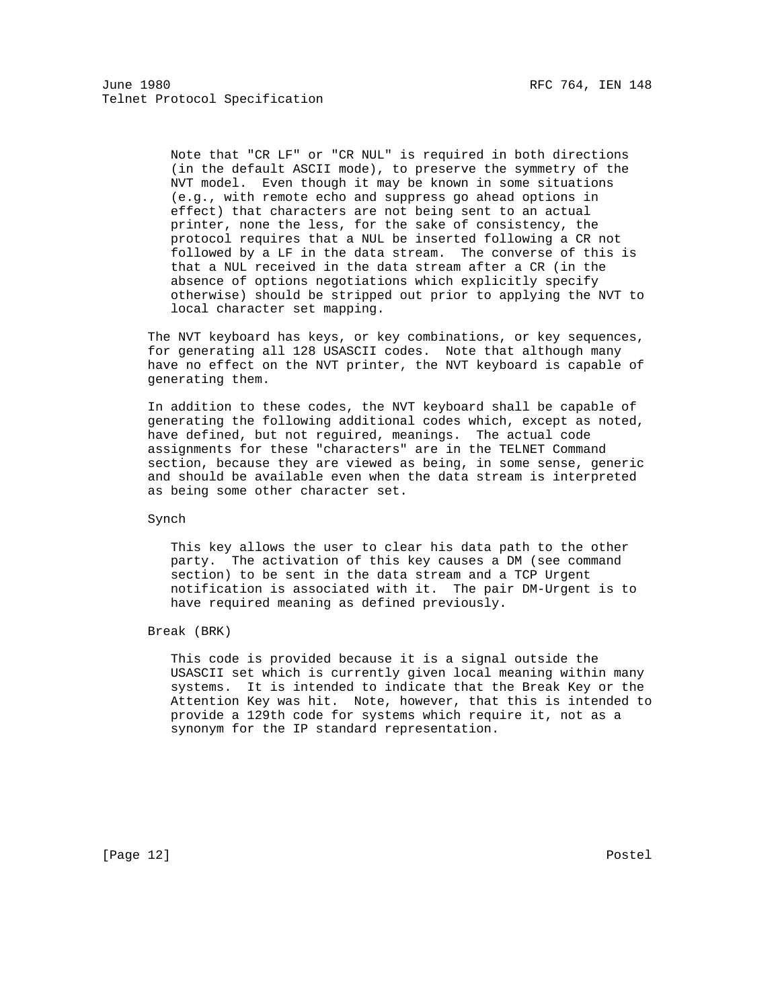> Note that "CR LF" or "CR NUL" is required in both directions (in the default ASCII mode), to preserve the symmetry of the NVT model. Even though it may be known in some situations (e.g., with remote echo and suppress go ahead options in effect) that characters are not being sent to an actual printer, none the less, for the sake of consistency, the protocol requires that a NUL be inserted following a CR not followed by a LF in the data stream. The converse of this is that a NUL received in the data stream after a CR (in the absence of options negotiations which explicitly specify otherwise) should be stripped out prior to applying the NVT to local character set mapping.

 The NVT keyboard has keys, or key combinations, or key sequences, for generating all 128 USASCII codes. Note that although many have no effect on the NVT printer, the NVT keyboard is capable of generating them.

 In addition to these codes, the NVT keyboard shall be capable of generating the following additional codes which, except as noted, have defined, but not reguired, meanings. The actual code assignments for these "characters" are in the TELNET Command section, because they are viewed as being, in some sense, generic and should be available even when the data stream is interpreted as being some other character set.

Synch

 This key allows the user to clear his data path to the other party. The activation of this key causes a DM (see command section) to be sent in the data stream and a TCP Urgent notification is associated with it. The pair DM-Urgent is to have required meaning as defined previously.

Break (BRK)

 This code is provided because it is a signal outside the USASCII set which is currently given local meaning within many systems. It is intended to indicate that the Break Key or the Attention Key was hit. Note, however, that this is intended to provide a 129th code for systems which require it, not as a synonym for the IP standard representation.

[Page 12] Postel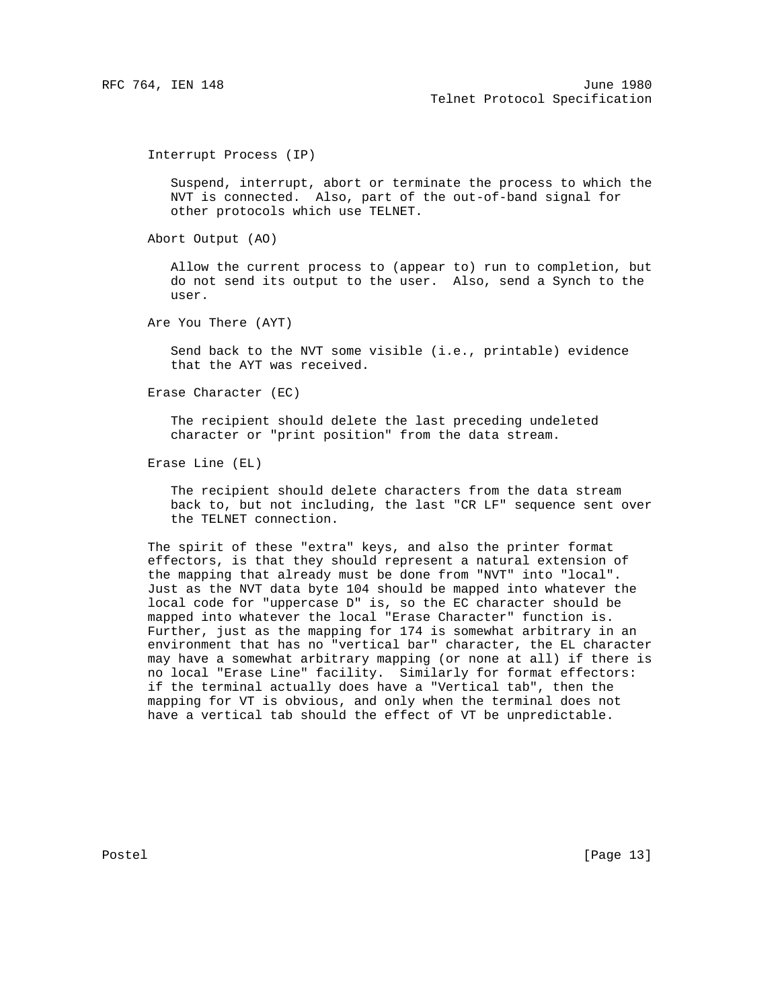Interrupt Process (IP)

 Suspend, interrupt, abort or terminate the process to which the NVT is connected. Also, part of the out-of-band signal for other protocols which use TELNET.

Abort Output (AO)

 Allow the current process to (appear to) run to completion, but do not send its output to the user. Also, send a Synch to the user.

Are You There (AYT)

 Send back to the NVT some visible (i.e., printable) evidence that the AYT was received.

Erase Character (EC)

 The recipient should delete the last preceding undeleted character or "print position" from the data stream.

Erase Line (EL)

 The recipient should delete characters from the data stream back to, but not including, the last "CR LF" sequence sent over the TELNET connection.

 The spirit of these "extra" keys, and also the printer format effectors, is that they should represent a natural extension of the mapping that already must be done from "NVT" into "local". Just as the NVT data byte 104 should be mapped into whatever the local code for "uppercase D" is, so the EC character should be mapped into whatever the local "Erase Character" function is. Further, just as the mapping for 174 is somewhat arbitrary in an environment that has no "vertical bar" character, the EL character may have a somewhat arbitrary mapping (or none at all) if there is no local "Erase Line" facility. Similarly for format effectors: if the terminal actually does have a "Vertical tab", then the mapping for VT is obvious, and only when the terminal does not have a vertical tab should the effect of VT be unpredictable.

Postel [Page 13]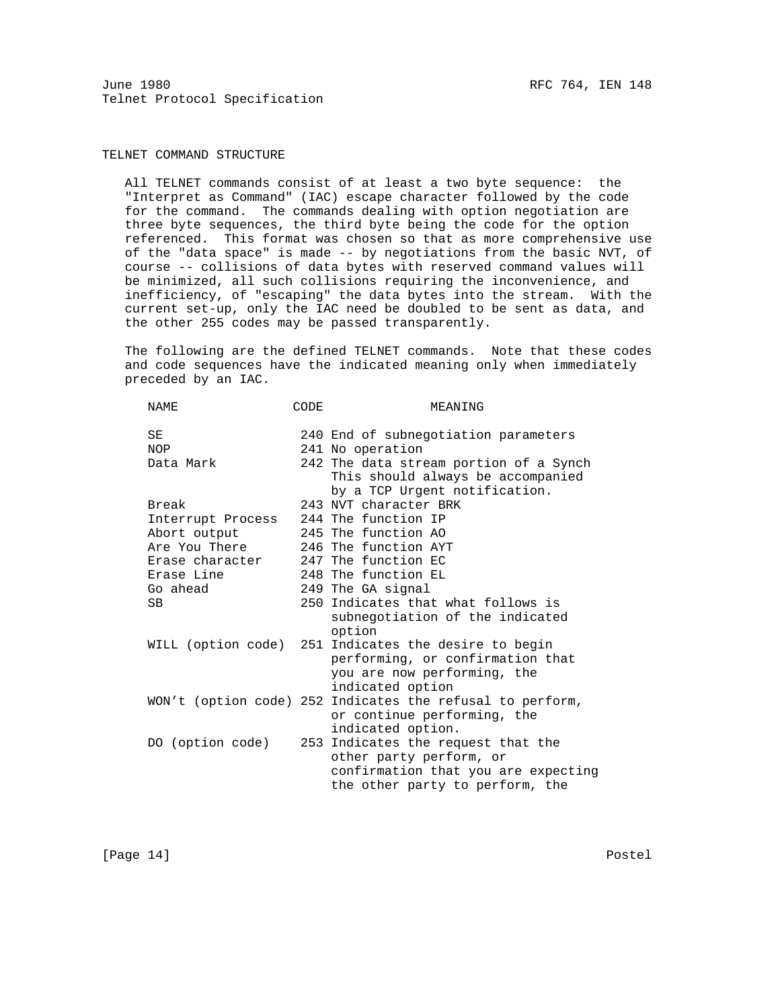# TELNET COMMAND STRUCTURE

 All TELNET commands consist of at least a two byte sequence: the "Interpret as Command" (IAC) escape character followed by the code for the command. The commands dealing with option negotiation are three byte sequences, the third byte being the code for the option referenced. This format was chosen so that as more comprehensive use of the "data space" is made -- by negotiations from the basic NVT, of course -- collisions of data bytes with reserved command values will be minimized, all such collisions requiring the inconvenience, and inefficiency, of "escaping" the data bytes into the stream. With the current set-up, only the IAC need be doubled to be sent as data, and the other 255 codes may be passed transparently.

 The following are the defined TELNET commands. Note that these codes and code sequences have the indicated meaning only when immediately preceded by an IAC.

| NAME               | CODE | MEANING                                                                                                                                 |
|--------------------|------|-----------------------------------------------------------------------------------------------------------------------------------------|
| SE<br><b>NOP</b>   |      | 240 End of subnegotiation parameters<br>241 No operation                                                                                |
| Data Mark          |      | 242 The data stream portion of a Synch<br>This should always be accompanied<br>by a TCP Urgent notification.                            |
| Break              |      | 243 NVT character BRK                                                                                                                   |
| Interrupt Process  |      | 244 The function IP                                                                                                                     |
| Abort output       |      | 245 The function AO                                                                                                                     |
| Are You There      |      | 246 The function AYT                                                                                                                    |
| Erase character    |      | 247 The function EC                                                                                                                     |
| Erase Line         |      | 248 The function EL                                                                                                                     |
| Go ahead           |      | 249 The GA signal                                                                                                                       |
| SB.                |      | 250 Indicates that what follows is<br>subnegotiation of the indicated<br>option                                                         |
| WILL (option code) |      | 251 Indicates the desire to begin<br>performing, or confirmation that<br>you are now performing, the<br>indicated option                |
|                    |      | WON't (option code) 252 Indicates the refusal to perform,<br>or continue performing, the<br>indicated option.                           |
| DO (option code)   |      | 253 Indicates the request that the<br>other party perform, or<br>confirmation that you are expecting<br>the other party to perform, the |

[Page 14] Postel